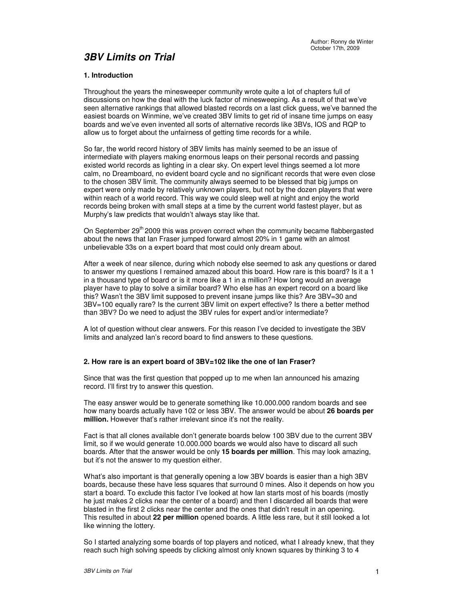# **3BV Limits on Trial**

# **1. Introduction**

Throughout the years the minesweeper community wrote quite a lot of chapters full of discussions on how the deal with the luck factor of minesweeping. As a result of that we've seen alternative rankings that allowed blasted records on a last click guess, we've banned the easiest boards on Winmine, we've created 3BV limits to get rid of insane time jumps on easy boards and we've even invented all sorts of alternative records like 3BVs, IOS and RQP to allow us to forget about the unfairness of getting time records for a while.

So far, the world record history of 3BV limits has mainly seemed to be an issue of intermediate with players making enormous leaps on their personal records and passing existed world records as lighting in a clear sky. On expert level things seemed a lot more calm, no Dreamboard, no evident board cycle and no significant records that were even close to the chosen 3BV limit. The community always seemed to be blessed that big jumps on expert were only made by relatively unknown players, but not by the dozen players that were within reach of a world record. This way we could sleep well at night and enjoy the world records being broken with small steps at a time by the current world fastest player, but as Murphy's law predicts that wouldn't always stay like that.

On September 29<sup>th</sup> 2009 this was proven correct when the community became flabbergasted about the news that Ian Fraser jumped forward almost 20% in 1 game with an almost unbelievable 33s on a expert board that most could only dream about.

After a week of near silence, during which nobody else seemed to ask any questions or dared to answer my questions I remained amazed about this board. How rare is this board? Is it a 1 in a thousand type of board or is it more like a 1 in a million? How long would an average player have to play to solve a similar board? Who else has an expert record on a board like this? Wasn't the 3BV limit supposed to prevent insane jumps like this? Are 3BV=30 and 3BV=100 equally rare? Is the current 3BV limit on expert effective? Is there a better method than 3BV? Do we need to adjust the 3BV rules for expert and/or intermediate?

A lot of question without clear answers. For this reason I've decided to investigate the 3BV limits and analyzed Ian's record board to find answers to these questions.

## **2. How rare is an expert board of 3BV=102 like the one of Ian Fraser?**

Since that was the first question that popped up to me when Ian announced his amazing record. I'll first try to answer this question.

The easy answer would be to generate something like 10.000.000 random boards and see how many boards actually have 102 or less 3BV. The answer would be about **26 boards per million.** However that's rather irrelevant since it's not the reality.

Fact is that all clones available don't generate boards below 100 3BV due to the current 3BV limit, so if we would generate 10.000.000 boards we would also have to discard all such boards. After that the answer would be only **15 boards per million**. This may look amazing, but it's not the answer to my question either.

What's also important is that generally opening a low 3BV boards is easier than a high 3BV boards, because these have less squares that surround 0 mines. Also it depends on how you start a board. To exclude this factor I've looked at how Ian starts most of his boards (mostly he just makes 2 clicks near the center of a board) and then I discarded all boards that were blasted in the first 2 clicks near the center and the ones that didn't result in an opening. This resulted in about **22 per million** opened boards. A little less rare, but it still looked a lot like winning the lottery.

So I started analyzing some boards of top players and noticed, what I already knew, that they reach such high solving speeds by clicking almost only known squares by thinking 3 to 4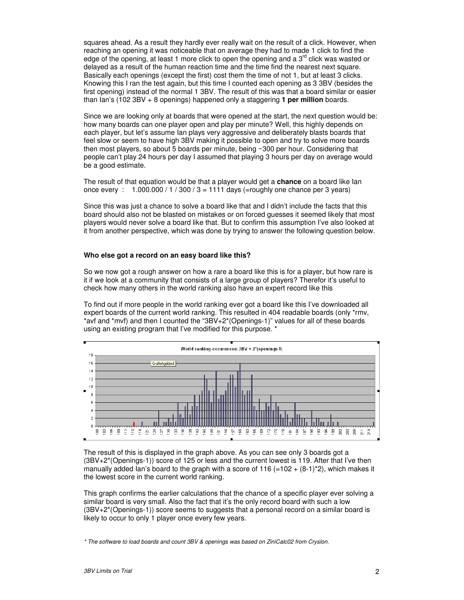squares ahead. As a result they hardly ever really wait on the result of a click. However, when reaching an opening it was noticeable that on average they had to made 1 click to find the edge of the opening, at least 1 more click to open the opening and a  $3<sup>rd</sup>$  click was wasted or delayed as a result of the human reaction time and the time find the nearest next square. Basically each openings (except the first) cost them the time of not 1, but at least 3 clicks. Knowing this I ran the test again, but this time I counted each opening as 3 3BV (besides the first opening) instead of the normal 1 3BV. The result of this was that a board similar or easier than Ian's (102 3BV + 8 openings) happened only a staggering **1 per million** boards.

Since we are looking only at boards that were opened at the start, the next question would be: how many boards can one player open and play per minute? Well, this highly depends on each player, but let's assume Ian plays very aggressive and deliberately blasts boards that feel slow or seem to have high 3BV making it possible to open and try to solve more boards then most players, so about 5 boards per minute, being ~300 per hour. Considering that people can't play 24 hours per day I assumed that playing 3 hours per day on average would be a good estimate.

The result of that equation would be that a player would get a **chance** on a board like Ian once every :  $1.000.000 / 1 / 300 / 3 = 1111$  days (=roughly one chance per 3 years)

Since this was just a chance to solve a board like that and I didn't include the facts that this board should also not be blasted on mistakes or on forced guesses it seemed likely that most players would never solve a board like that. But to confirm this assumption I've also looked at it from another perspective, which was done by trying to answer the following question below.

#### **Who else got a record on an easy board like this?**

So we now got a rough answer on how a rare a board like this is for a player, but how rare is it if we look at a community that consists of a large group of players? Therefor it's useful to check how many others in the world ranking also have an expert record like this

To find out if more people in the world ranking ever got a board like this I've downloaded all expert boards of the current world ranking. This resulted in 404 readable boards (only \*rmv, \*avf and \*mvf) and then I counted the "3BV+2\*(Openings-1)" values for all of these boards using an existing program that I've modified for this purpose. \*



The result of this is displayed in the graph above. As you can see only 3 boards got a (3BV+2\*(Openings-1)) score of 125 or less and the current lowest is 119. After that I've then manually added Ian's board to the graph with a score of 116 (=102  $+$  (8-1)<sup>\*</sup>2), which makes it the lowest score in the current world ranking.

This graph confirms the earlier calculations that the chance of a specific player ever solving a similar board is very small. Also the fact that it's the only record board with such a low (3BV+2\*(Openings-1)) score seems to suggests that a personal record on a similar board is likely to occur to only 1 player once every few years.

\* The software to load boards and count 3BV & openings was based on ZiniCalc02 from Cryslon.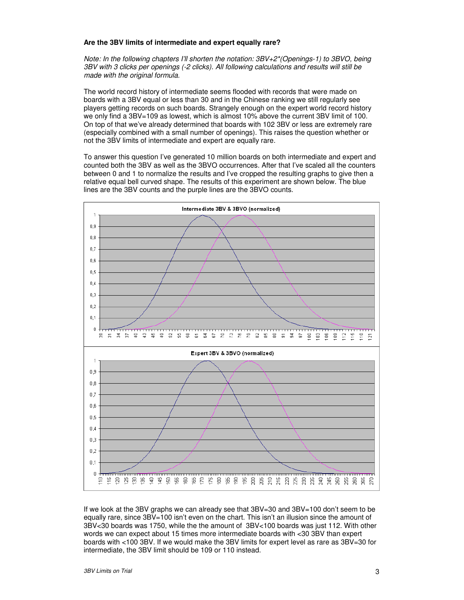#### **Are the 3BV limits of intermediate and expert equally rare?**

Note: In the following chapters I'll shorten the notation: 3BV+2\*(Openings-1) to 3BVO, being 3BV with 3 clicks per openings (-2 clicks). All following calculations and results will still be made with the original formula.

The world record history of intermediate seems flooded with records that were made on boards with a 3BV equal or less than 30 and in the Chinese ranking we still regularly see players getting records on such boards. Strangely enough on the expert world record history we only find a 3BV=109 as lowest, which is almost 10% above the current 3BV limit of 100. On top of that we've already determined that boards with 102 3BV or less are extremely rare (especially combined with a small number of openings). This raises the question whether or not the 3BV limits of intermediate and expert are equally rare.

To answer this question I've generated 10 million boards on both intermediate and expert and counted both the 3BV as well as the 3BVO occurrences. After that I've scaled all the counters between 0 and 1 to normalize the results and I've cropped the resulting graphs to give then a relative equal bell curved shape. The results of this experiment are shown below. The blue lines are the 3BV counts and the purple lines are the 3BVO counts.



If we look at the 3BV graphs we can already see that 3BV=30 and 3BV=100 don't seem to be equally rare, since 3BV=100 isn't even on the chart. This isn't an illusion since the amount of 3BV<30 boards was 1750, while the the amount of 3BV<100 boards was just 112. With other words we can expect about 15 times more intermediate boards with <30 3BV than expert boards with <100 3BV. If we would make the 3BV limits for expert level as rare as 3BV=30 for intermediate, the 3BV limit should be 109 or 110 instead.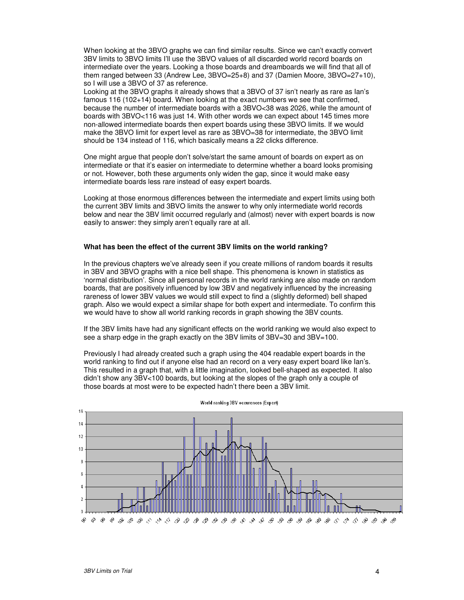When looking at the 3BVO graphs we can find similar results. Since we can't exactly convert 3BV limits to 3BVO limits I'll use the 3BVO values of all discarded world record boards on intermediate over the years. Looking a those boards and dreamboards we will find that all of them ranged between 33 (Andrew Lee, 3BVO=25+8) and 37 (Damien Moore, 3BVO=27+10), so I will use a 3BVO of 37 as reference.

Looking at the 3BVO graphs it already shows that a 3BVO of 37 isn't nearly as rare as Ian's famous 116 (102+14) board. When looking at the exact numbers we see that confirmed, because the number of intermediate boards with a 3BVO<38 was 2026, while the amount of boards with 3BVO<116 was just 14. With other words we can expect about 145 times more non-allowed intermediate boards then expert boards using these 3BVO limits. If we would make the 3BVO limit for expert level as rare as 3BVO=38 for intermediate, the 3BVO limit should be 134 instead of 116, which basically means a 22 clicks difference.

One might argue that people don't solve/start the same amount of boards on expert as on intermediate or that it's easier on intermediate to determine whether a board looks promising or not. However, both these arguments only widen the gap, since it would make easy intermediate boards less rare instead of easy expert boards.

Looking at those enormous differences between the intermediate and expert limits using both the current 3BV limits and 3BVO limits the answer to why only intermediate world records below and near the 3BV limit occurred regularly and (almost) never with expert boards is now easily to answer: they simply aren't equally rare at all.

### **What has been the effect of the current 3BV limits on the world ranking?**

In the previous chapters we've already seen if you create millions of random boards it results in 3BV and 3BVO graphs with a nice bell shape. This phenomena is known in statistics as 'normal distribution'. Since all personal records in the world ranking are also made on random boards, that are positively influenced by low 3BV and negatively influenced by the increasing rareness of lower 3BV values we would still expect to find a (slightly deformed) bell shaped graph. Also we would expect a similar shape for both expert and intermediate. To confirm this we would have to show all world ranking records in graph showing the 3BV counts.

If the 3BV limits have had any significant effects on the world ranking we would also expect to see a sharp edge in the graph exactly on the 3BV limits of 3BV=30 and 3BV=100.

Previously I had already created such a graph using the 404 readable expert boards in the world ranking to find out if anyone else had an record on a very easy expert board like Ian's. This resulted in a graph that, with a little imagination, looked bell-shaped as expected. It also didn't show any 3BV<100 boards, but looking at the slopes of the graph only a couple of those boards at most were to be expected hadn't there been a 3BV limit.



World ranking 3BV occurences (Expert)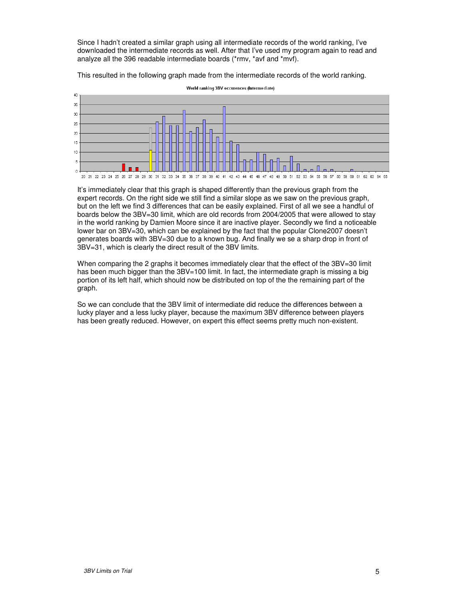Since I hadn't created a similar graph using all intermediate records of the world ranking, I've downloaded the intermediate records as well. After that I've used my program again to read and analyze all the 396 readable intermediate boards (\*rmv, \*avf and \*mvf).

This resulted in the following graph made from the intermediate records of the world ranking.



World ranking 3BV occurences (Intermediate)

It's immediately clear that this graph is shaped differently than the previous graph from the expert records. On the right side we still find a similar slope as we saw on the previous graph, but on the left we find 3 differences that can be easily explained. First of all we see a handful of boards below the 3BV=30 limit, which are old records from 2004/2005 that were allowed to stay in the world ranking by Damien Moore since it are inactive player. Secondly we find a noticeable lower bar on 3BV=30, which can be explained by the fact that the popular Clone2007 doesn't generates boards with 3BV=30 due to a known bug. And finally we se a sharp drop in front of 3BV=31, which is clearly the direct result of the 3BV limits.

When comparing the 2 graphs it becomes immediately clear that the effect of the 3BV=30 limit has been much bigger than the 3BV=100 limit. In fact, the intermediate graph is missing a big portion of its left half, which should now be distributed on top of the the remaining part of the graph.

So we can conclude that the 3BV limit of intermediate did reduce the differences between a lucky player and a less lucky player, because the maximum 3BV difference between players has been greatly reduced. However, on expert this effect seems pretty much non-existent.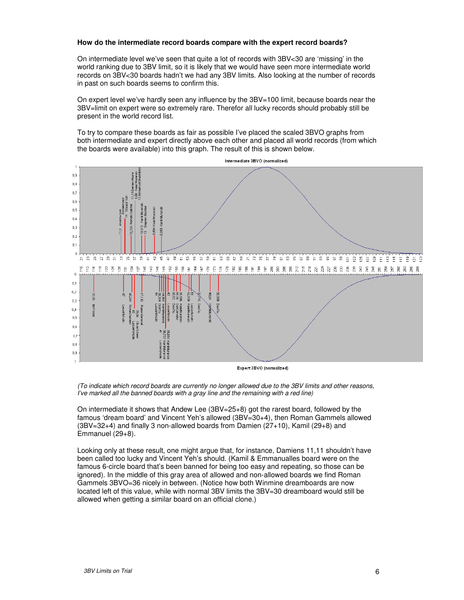#### **How do the intermediate record boards compare with the expert record boards?**

On intermediate level we've seen that quite a lot of records with 3BV<30 are 'missing' in the world ranking due to 3BV limit, so it is likely that we would have seen more intermediate world records on 3BV<30 boards hadn't we had any 3BV limits. Also looking at the number of records in past on such boards seems to confirm this.

On expert level we've hardly seen any influence by the 3BV=100 limit, because boards near the 3BV=limit on expert were so extremely rare. Therefor all lucky records should probably still be present in the world record list.

To try to compare these boards as fair as possible I've placed the scaled 3BVO graphs from both intermediate and expert directly above each other and placed all world records (from which the boards were available) into this graph. The result of this is shown below.



Expert 3BVO (normalized)

(To indicate which record boards are currently no longer allowed due to the 3BV limits and other reasons, I've marked all the banned boards with a gray line and the remaining with a red line)

On intermediate it shows that Andew Lee (3BV=25+8) got the rarest board, followed by the famous 'dream board' and Vincent Yeh's allowed (3BV=30+4), then Roman Gammels allowed (3BV=32+4) and finally 3 non-allowed boards from Damien (27+10), Kamil (29+8) and Emmanuel (29+8).

Looking only at these result, one might argue that, for instance, Damiens 11,11 shouldn't have been called too lucky and Vincent Yeh's should. (Kamil & Emmanualles board were on the famous 6-circle board that's been banned for being too easy and repeating, so those can be ignored). In the middle of this gray area of allowed and non-allowed boards we find Roman Gammels 3BVO=36 nicely in between. (Notice how both Winmine dreamboards are now located left of this value, while with normal 3BV limits the 3BV=30 dreamboard would still be allowed when getting a similar board on an official clone.)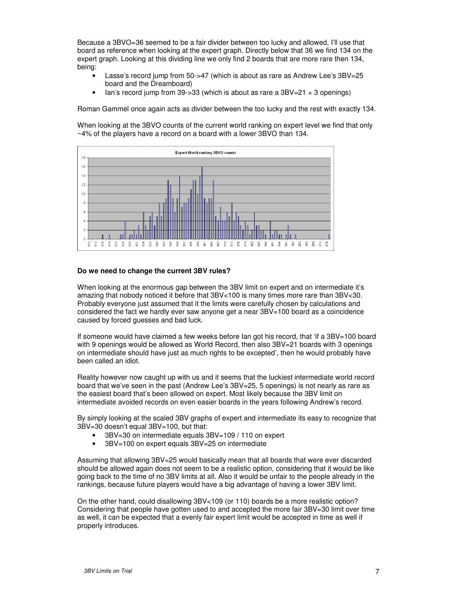Because a 3BVO=36 seemed to be a fair divider between too lucky and allowed, I'll use that board as reference when looking at the expert graph. Directly below that 36 we find 134 on the expert graph. Looking at this dividing line we only find 2 boards that are more rare then 134, being:

- Lasse's record jump from 50->47 (which is about as rare as Andrew Lee's 3BV=25 board and the Dreamboard)
- Ian's record jump from 39->33 (which is about as rare a 3BV=21 + 3 openings)

Roman Gammel once again acts as divider between the too lucky and the rest with exactly 134.

When looking at the 3BVO counts of the current world ranking on expert level we find that only ~4% of the players have a record on a board with a lower 3BVO than 134.



## **Do we need to change the current 3BV rules?**

When looking at the enormous gap between the 3BV limit on expert and on intermediate it's amazing that nobody noticed it before that 3BV<100 is many times more rare than 3BV<30. Probably everyone just assumed that it the limits were carefully chosen by calculations and considered the fact we hardly ever saw anyone get a near 3BV=100 board as a coincidence caused by forced guesses and bad luck.

If someone would have claimed a few weeks before Ian got his record, that 'if a 3BV=100 board with 9 openings would be allowed as World Record, then also 3BV=21 boards with 3 openings on intermediate should have just as much rights to be excepted', then he would probably have been called an idiot.

Reality however now caught up with us and it seems that the luckiest intermediate world record board that we've seen in the past (Andrew Lee's 3BV=25, 5 openings) is not nearly as rare as the easiest board that's been allowed on expert. Most likely because the 3BV limit on intermediate avoided records on even easier boards in the years following Andrew's record.

By simply looking at the scaled 3BV graphs of expert and intermediate its easy to recognize that 3BV=30 doesn't equal 3BV=100, but that:

- 3BV=30 on intermediate equals 3BV=109 / 110 on expert
- 3BV=100 on expert equals 3BV=25 on intermediate

Assuming that allowing 3BV=25 would basically mean that all boards that were ever discarded should be allowed again does not seem to be a realistic option, considering that it would be like going back to the time of no 3BV limits at all. Also it would be unfair to the people already in the rankings, because future players would have a big advantage of having a lower 3BV limit.

On the other hand, could disallowing 3BV<109 (or 110) boards be a more realistic option? Considering that people have gotten used to and accepted the more fair 3BV=30 limit over time as well, it can be expected that a evenly fair expert limit would be accepted in time as well if properly introduces.